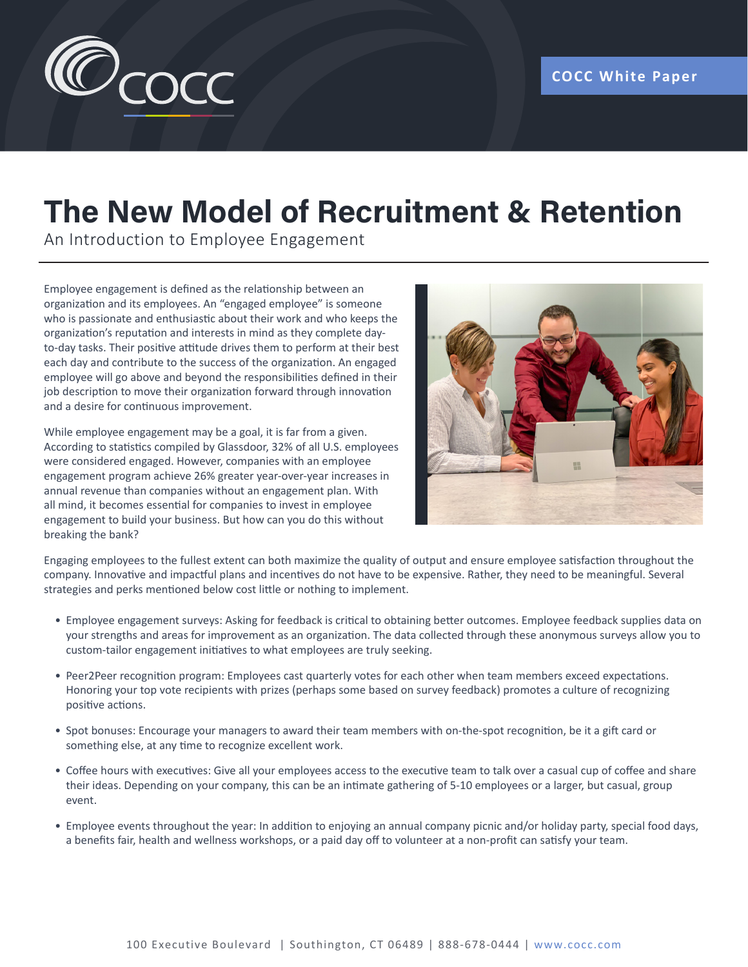

## **The New Model of Recruitment & Retention**

An Introduction to Employee Engagement

Employee engagement is defined as the relationship between an organization and its employees. An "engaged employee" is someone who is passionate and enthusiastic about their work and who keeps the organization's reputation and interests in mind as they complete dayto-day tasks. Their positive attitude drives them to perform at their best each day and contribute to the success of the organization. An engaged employee will go above and beyond the responsibilities defined in their job description to move their organization forward through innovation and a desire for continuous improvement.

While employee engagement may be a goal, it is far from a given. According to statistics compiled by Glassdoor, 32% of all U.S. employees were considered engaged. However, companies with an employee engagement program achieve 26% greater year-over-year increases in annual revenue than companies without an engagement plan. With all mind, it becomes essential for companies to invest in employee engagement to build your business. But how can you do this without breaking the bank?



Engaging employees to the fullest extent can both maximize the quality of output and ensure employee satisfaction throughout the company. Innovative and impactful plans and incentives do not have to be expensive. Rather, they need to be meaningful. Several strategies and perks mentioned below cost little or nothing to implement.

- Employee engagement surveys: Asking for feedback is critical to obtaining better outcomes. Employee feedback supplies data on your strengths and areas for improvement as an organization. The data collected through these anonymous surveys allow you to custom-tailor engagement initiatives to what employees are truly seeking.
- Peer2Peer recognition program: Employees cast quarterly votes for each other when team members exceed expectations. Honoring your top vote recipients with prizes (perhaps some based on survey feedback) promotes a culture of recognizing positive actions.
- Spot bonuses: Encourage your managers to award their team members with on-the-spot recognition, be it a gift card or something else, at any time to recognize excellent work.
- Coffee hours with executives: Give all your employees access to the executive team to talk over a casual cup of coffee and share their ideas. Depending on your company, this can be an intimate gathering of 5-10 employees or a larger, but casual, group event.
- Employee events throughout the year: In addition to enjoying an annual company picnic and/or holiday party, special food days, a benefits fair, health and wellness workshops, or a paid day off to volunteer at a non-profit can satisfy your team.